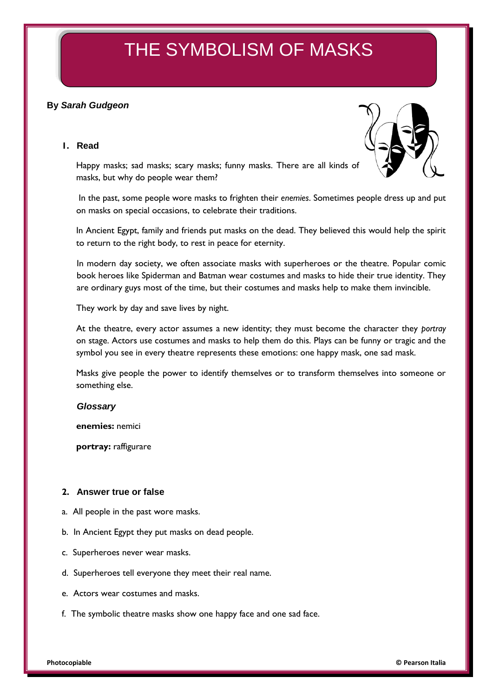# THE SYMBOLISM OF MASKS

# **By** *Sarah Gudgeon*

## **1. Read**



Happy masks; sad masks; scary masks; funny masks. There are all kinds of masks, but why do people wear them?

In the past, some people wore masks to frighten their *enemies*. Sometimes people dress up and put on masks on special occasions, to celebrate their traditions.

In Ancient Egypt, family and friends put masks on the dead. They believed this would help the spirit to return to the right body, to rest in peace for eternity.

In modern day society, we often associate masks with superheroes or the theatre. Popular comic book heroes like Spiderman and Batman wear costumes and masks to hide their true identity. They are ordinary guys most of the time, but their costumes and masks help to make them invincible.

They work by day and save lives by night.

At the theatre, every actor assumes a new identity; they must become the character they *portray* on stage. Actors use costumes and masks to help them do this. Plays can be funny or tragic and the symbol you see in every theatre represents these emotions: one happy mask, one sad mask.

Masks give people the power to identify themselves or to transform themselves into someone or something else.

#### *Glossary*

**enemies:** nemici

**portray:** raffigurare

### **2. Answer true or false**

- a. All people in the past wore masks.
- b. In Ancient Egypt they put masks on dead people.
- c. Superheroes never wear masks.
- d. Superheroes tell everyone they meet their real name.
- e. Actors wear costumes and masks.
- f. The symbolic theatre masks show one happy face and one sad face.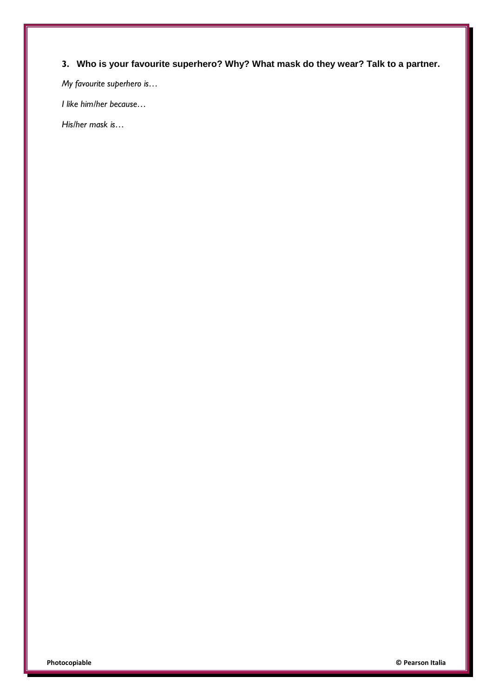# **3. Who is your favourite superhero? Why? What mask do they wear? Talk to a partner.**

*My favourite superhero is…*

*I like him/her because…*

*His/her mask is…*